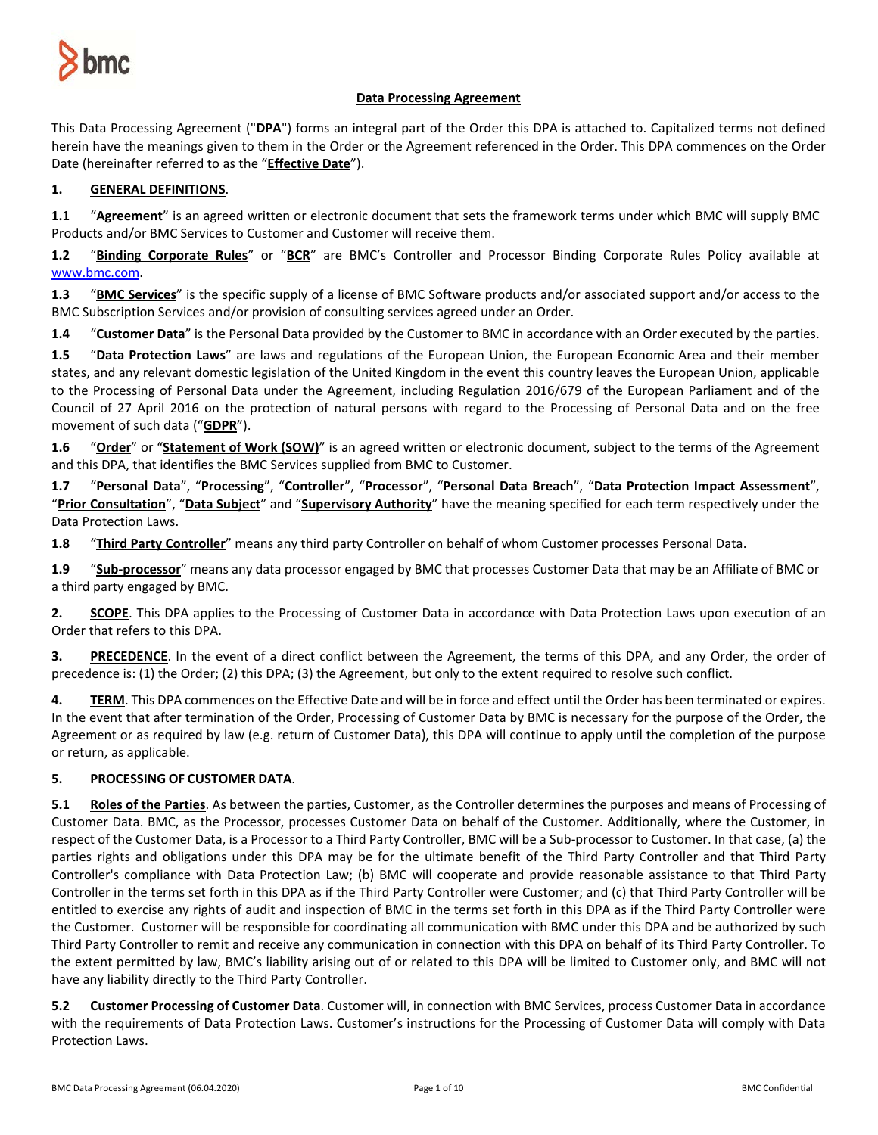

## **Data Processing Agreement**

This Data Processing Agreement ("**DPA**") forms an integral part of the Order this DPA is attached to. Capitalized terms not defined herein have the meanings given to them in the Order or the Agreement referenced in the Order. This DPA commences on the Order Date (hereinafter referred to as the "**Effective Date**").

# **1. GENERAL DEFINITIONS**.

**1.1** "**Agreement**" is an agreed written or electronic document that sets the framework terms under which BMC will supply BMC Products and/or BMC Services to Customer and Customer will receive them.

**1.2** "**Binding Corporate Rules**" or "**BCR**" are BMC's Controller and Processor Binding Corporate Rules Policy available at [www.bmc.com.](http://www.bmc.com/)

**1.3** "**BMC Services**" is the specific supply of a license of BMC Software products and/or associated support and/or access to the BMC Subscription Services and/or provision of consulting services agreed under an Order.

**1.4** "**Customer Data**" is the Personal Data provided by the Customer to BMC in accordance with an Order executed by the parties.

**1.5** "**Data Protection Laws**" are laws and regulations of the European Union, the European Economic Area and their member states, and any relevant domestic legislation of the United Kingdom in the event this country leaves the European Union, applicable to the Processing of Personal Data under the Agreement, including Regulation 2016/679 of the European Parliament and of the Council of 27 April 2016 on the protection of natural persons with regard to the Processing of Personal Data and on the free movement of such data ("**GDPR**").

**1.6** "**Order**" or "**Statement of Work (SOW)**" is an agreed written or electronic document, subject to the terms of the Agreement and this DPA, that identifies the BMC Services supplied from BMC to Customer.

**1.7** "**Personal Data**", "**Processing**", "**Controller**", "**Processor**", "**Personal Data Breach**", "**Data Protection Impact Assessment**", "**Prior Consultation**", "**Data Subject**" and "**Supervisory Authority**" have the meaning specified for each term respectively under the Data Protection Laws.

**1.8** "**Third Party Controller**" means any third party Controller on behalf of whom Customer processes Personal Data.

**1.9** "**Sub-processor**" means any data processor engaged by BMC that processes Customer Data that may be an Affiliate of BMC or a third party engaged by BMC.

**2. SCOPE**. This DPA applies to the Processing of Customer Data in accordance with Data Protection Laws upon execution of an Order that refers to this DPA.

**3. PRECEDENCE**. In the event of a direct conflict between the Agreement, the terms of this DPA, and any Order, the order of precedence is: (1) the Order; (2) this DPA; (3) the Agreement, but only to the extent required to resolve such conflict.

**4. TERM**. This DPA commences on the Effective Date and will be in force and effect until the Order has been terminated or expires. In the event that after termination of the Order, Processing of Customer Data by BMC is necessary for the purpose of the Order, the Agreement or as required by law (e.g. return of Customer Data), this DPA will continue to apply until the completion of the purpose or return, as applicable.

## **5. PROCESSING OF CUSTOMER DATA**.

**5.1 Roles of the Parties**. As between the parties, Customer, as the Controller determines the purposes and means of Processing of Customer Data. BMC, as the Processor, processes Customer Data on behalf of the Customer. Additionally, where the Customer, in respect of the Customer Data, is a Processor to a Third Party Controller, BMC will be a Sub-processor to Customer. In that case, (a) the parties rights and obligations under this DPA may be for the ultimate benefit of the Third Party Controller and that Third Party Controller's compliance with Data Protection Law; (b) BMC will cooperate and provide reasonable assistance to that Third Party Controller in the terms set forth in this DPA as if the Third Party Controller were Customer; and (c) that Third Party Controller will be entitled to exercise any rights of audit and inspection of BMC in the terms set forth in this DPA as if the Third Party Controller were the Customer. Customer will be responsible for coordinating all communication with BMC under this DPA and be authorized by such Third Party Controller to remit and receive any communication in connection with this DPA on behalf of its Third Party Controller. To the extent permitted by law, BMC's liability arising out of or related to this DPA will be limited to Customer only, and BMC will not have any liability directly to the Third Party Controller.

**5.2 Customer Processing of Customer Data**. Customer will, in connection with BMC Services, process Customer Data in accordance with the requirements of Data Protection Laws. Customer's instructions for the Processing of Customer Data will comply with Data Protection Laws.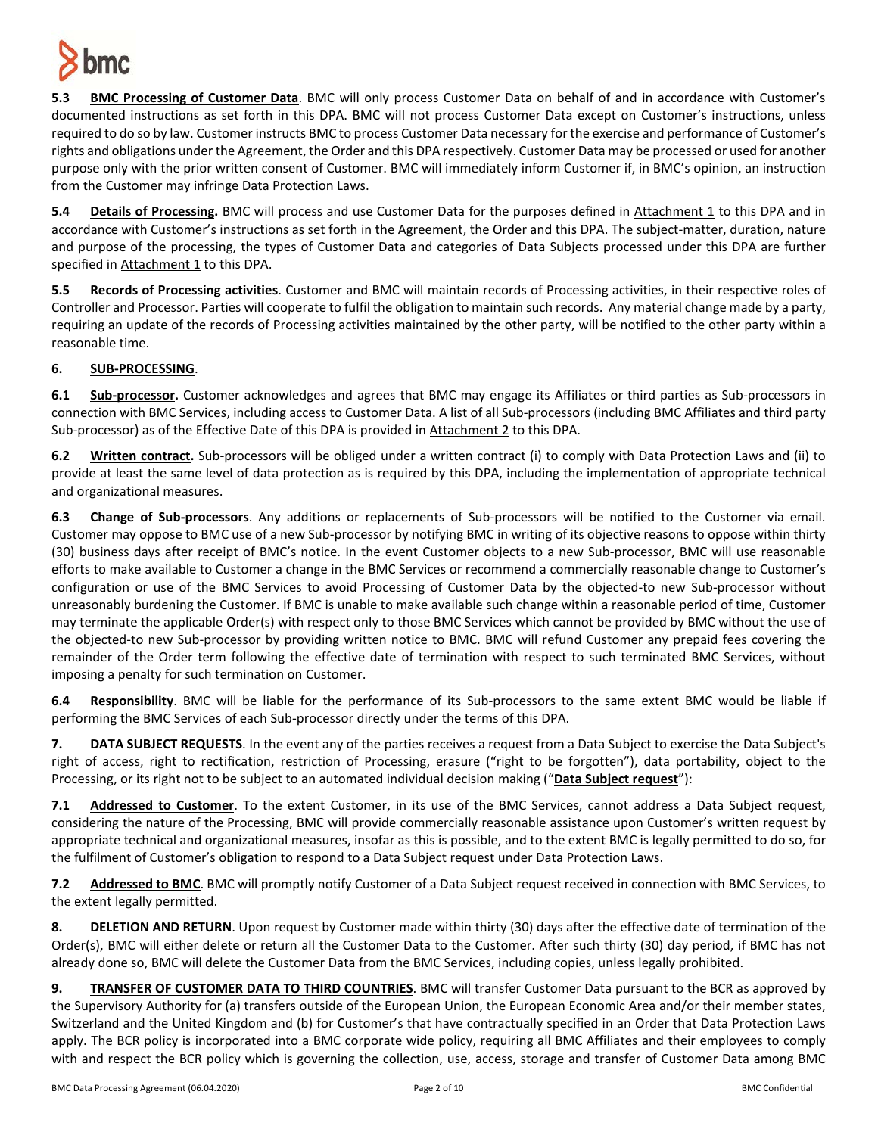

**5.3 BMC Processing of Customer Data**. BMC will only process Customer Data on behalf of and in accordance with Customer's documented instructions as set forth in this DPA. BMC will not process Customer Data except on Customer's instructions, unless required to do so by law. Customer instructs BMC to process Customer Data necessary for the exercise and performance of Customer's rights and obligations under the Agreement, the Order and this DPA respectively. Customer Data may be processed or used for another purpose only with the prior written consent of Customer. BMC will immediately inform Customer if, in BMC's opinion, an instruction from the Customer may infringe Data Protection Laws.

**5.4 Details of Processing.** BMC will process and use Customer Data for the purposes defined in Attachment 1 to this DPA and in accordance with Customer's instructions as set forth in the Agreement, the Order and this DPA. The subject-matter, duration, nature and purpose of the processing, the types of Customer Data and categories of Data Subjects processed under this DPA are further specified in Attachment 1 to this DPA.

**5.5 Records of Processing activities**. Customer and BMC will maintain records of Processing activities, in their respective roles of Controller and Processor. Parties will cooperate to fulfil the obligation to maintain such records. Any material change made by a party, requiring an update of the records of Processing activities maintained by the other party, will be notified to the other party within a reasonable time.

# **6. SUB-PROCESSING**.

**6.1 Sub-processor.** Customer acknowledges and agrees that BMC may engage its Affiliates or third parties as Sub-processors in connection with BMC Services, including access to Customer Data. A list of all Sub-processors (including BMC Affiliates and third party Sub-processor) as of the Effective Date of this DPA is provided in Attachment 2 to this DPA.

**6.2 Written contract.** Sub-processors will be obliged under a written contract (i) to comply with Data Protection Laws and (ii) to provide at least the same level of data protection as is required by this DPA, including the implementation of appropriate technical and organizational measures.

**6.3 Change of Sub-processors**. Any additions or replacements of Sub-processors will be notified to the Customer via email. Customer may oppose to BMC use of a new Sub-processor by notifying BMC in writing of its objective reasons to oppose within thirty (30) business days after receipt of BMC's notice. In the event Customer objects to a new Sub-processor, BMC will use reasonable efforts to make available to Customer a change in the BMC Services or recommend a commercially reasonable change to Customer's configuration or use of the BMC Services to avoid Processing of Customer Data by the objected-to new Sub-processor without unreasonably burdening the Customer. If BMC is unable to make available such change within a reasonable period of time, Customer may terminate the applicable Order(s) with respect only to those BMC Services which cannot be provided by BMC without the use of the objected-to new Sub-processor by providing written notice to BMC. BMC will refund Customer any prepaid fees covering the remainder of the Order term following the effective date of termination with respect to such terminated BMC Services, without imposing a penalty for such termination on Customer.

**6.4 Responsibility**. BMC will be liable for the performance of its Sub-processors to the same extent BMC would be liable if performing the BMC Services of each Sub-processor directly under the terms of this DPA.

**7. DATA SUBJECT REQUESTS**. In the event any of the parties receives a request from a Data Subject to exercise the Data Subject's right of access, right to rectification, restriction of Processing, erasure ("right to be forgotten"), data portability, object to the Processing, or its right not to be subject to an automated individual decision making ("**Data Subject request**"):

**7.1 Addressed to Customer**. To the extent Customer, in its use of the BMC Services, cannot address a Data Subject request, considering the nature of the Processing, BMC will provide commercially reasonable assistance upon Customer's written request by appropriate technical and organizational measures, insofar as this is possible, and to the extent BMC is legally permitted to do so, for the fulfilment of Customer's obligation to respond to a Data Subject request under Data Protection Laws.

**7.2 Addressed to BMC**. BMC will promptly notify Customer of a Data Subject request received in connection with BMC Services, to the extent legally permitted.

**8. DELETION AND RETURN**. Upon request by Customer made within thirty (30) days after the effective date of termination of the Order(s), BMC will either delete or return all the Customer Data to the Customer. After such thirty (30) day period, if BMC has not already done so, BMC will delete the Customer Data from the BMC Services, including copies, unless legally prohibited.

**9. TRANSFER OF CUSTOMER DATA TO THIRD COUNTRIES**. BMC will transfer Customer Data pursuant to the BCR as approved by the Supervisory Authority for (a) transfers outside of the European Union, the European Economic Area and/or their member states, Switzerland and the United Kingdom and (b) for Customer's that have contractually specified in an Order that Data Protection Laws apply. The BCR policy is incorporated into a BMC corporate wide policy, requiring all BMC Affiliates and their employees to comply with and respect the BCR policy which is governing the collection, use, access, storage and transfer of Customer Data among BMC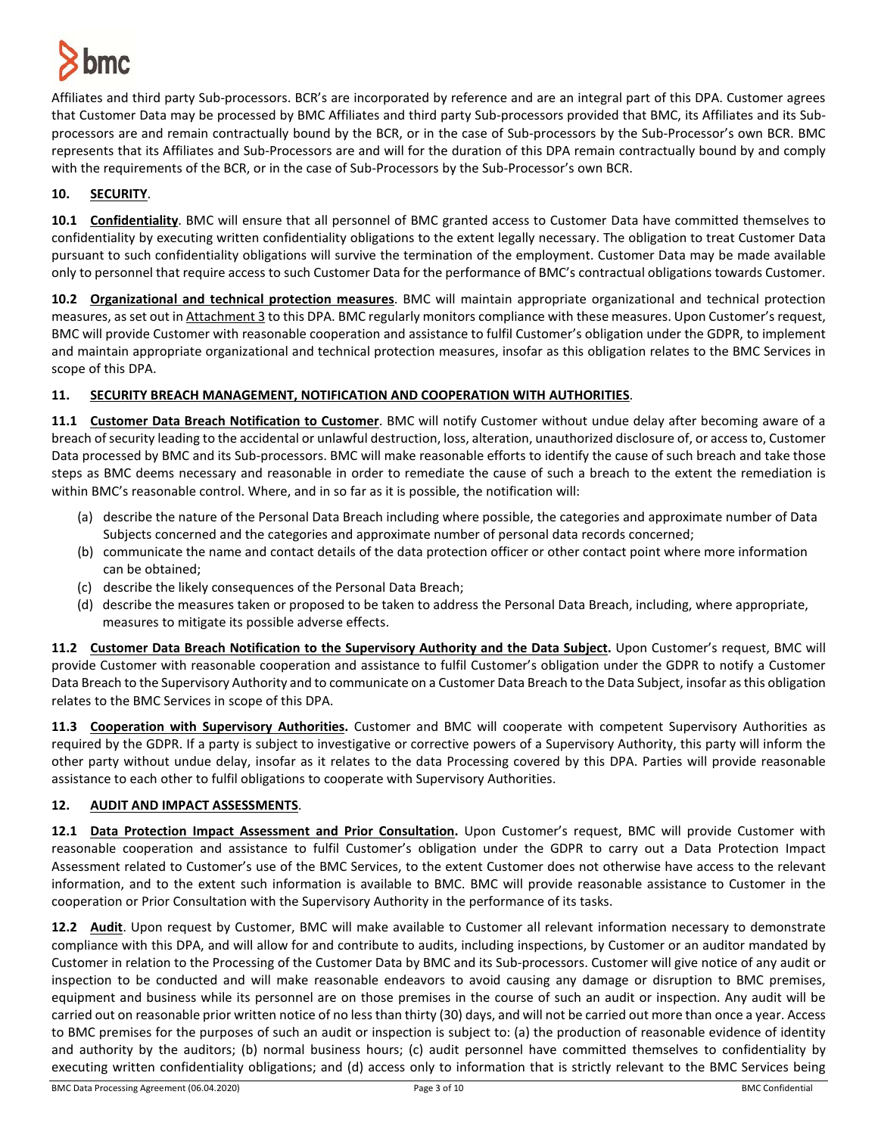

Affiliates and third party Sub-processors. BCR's are incorporated by reference and are an integral part of this DPA. Customer agrees that Customer Data may be processed by BMC Affiliates and third party Sub-processors provided that BMC, its Affiliates and its Subprocessors are and remain contractually bound by the BCR, or in the case of Sub-processors by the Sub-Processor's own BCR. BMC represents that its Affiliates and Sub-Processors are and will for the duration of this DPA remain contractually bound by and comply with the requirements of the BCR, or in the case of Sub-Processors by the Sub-Processor's own BCR.

## **10. SECURITY**.

**10.1 Confidentiality**. BMC will ensure that all personnel of BMC granted access to Customer Data have committed themselves to confidentiality by executing written confidentiality obligations to the extent legally necessary. The obligation to treat Customer Data pursuant to such confidentiality obligations will survive the termination of the employment. Customer Data may be made available only to personnel that require access to such Customer Data for the performance of BMC's contractual obligations towards Customer.

**10.2 Organizational and technical protection measures**. BMC will maintain appropriate organizational and technical protection measures, as set out in Attachment 3 to this DPA. BMC regularly monitors compliance with these measures. Upon Customer's request, BMC will provide Customer with reasonable cooperation and assistance to fulfil Customer's obligation under the GDPR, to implement and maintain appropriate organizational and technical protection measures, insofar as this obligation relates to the BMC Services in scope of this DPA.

## **11. SECURITY BREACH MANAGEMENT, NOTIFICATION AND COOPERATION WITH AUTHORITIES**.

**11.1 Customer Data Breach Notification to Customer**. BMC will notify Customer without undue delay after becoming aware of a breach of security leading to the accidental or unlawful destruction, loss, alteration, unauthorized disclosure of, or accessto, Customer Data processed by BMC and its Sub-processors. BMC will make reasonable efforts to identify the cause of such breach and take those steps as BMC deems necessary and reasonable in order to remediate the cause of such a breach to the extent the remediation is within BMC's reasonable control. Where, and in so far as it is possible, the notification will:

- (a) describe the nature of the Personal Data Breach including where possible, the categories and approximate number of Data Subjects concerned and the categories and approximate number of personal data records concerned;
- (b) communicate the name and contact details of the data protection officer or other contact point where more information can be obtained;
- (c) describe the likely consequences of the Personal Data Breach;
- (d) describe the measures taken or proposed to be taken to address the Personal Data Breach, including, where appropriate, measures to mitigate its possible adverse effects.

**11.2 Customer Data Breach Notification to the Supervisory Authority and the Data Subject.** Upon Customer's request, BMC will provide Customer with reasonable cooperation and assistance to fulfil Customer's obligation under the GDPR to notify a Customer Data Breach to the Supervisory Authority and to communicate on a Customer Data Breach to the Data Subject, insofar as this obligation relates to the BMC Services in scope of this DPA.

**11.3 Cooperation with Supervisory Authorities.** Customer and BMC will cooperate with competent Supervisory Authorities as required by the GDPR. If a party is subject to investigative or corrective powers of a Supervisory Authority, this party will inform the other party without undue delay, insofar as it relates to the data Processing covered by this DPA. Parties will provide reasonable assistance to each other to fulfil obligations to cooperate with Supervisory Authorities.

## **12. AUDIT AND IMPACT ASSESSMENTS**.

**12.1 Data Protection Impact Assessment and Prior Consultation.** Upon Customer's request, BMC will provide Customer with reasonable cooperation and assistance to fulfil Customer's obligation under the GDPR to carry out a Data Protection Impact Assessment related to Customer's use of the BMC Services, to the extent Customer does not otherwise have access to the relevant information, and to the extent such information is available to BMC. BMC will provide reasonable assistance to Customer in the cooperation or Prior Consultation with the Supervisory Authority in the performance of its tasks.

**12.2 Audit**. Upon request by Customer, BMC will make available to Customer all relevant information necessary to demonstrate compliance with this DPA, and will allow for and contribute to audits, including inspections, by Customer or an auditor mandated by Customer in relation to the Processing of the Customer Data by BMC and its Sub-processors. Customer will give notice of any audit or inspection to be conducted and will make reasonable endeavors to avoid causing any damage or disruption to BMC premises, equipment and business while its personnel are on those premises in the course of such an audit or inspection. Any audit will be carried out on reasonable prior written notice of no less than thirty (30) days, and will not be carried out more than once a year. Access to BMC premises for the purposes of such an audit or inspection is subject to: (a) the production of reasonable evidence of identity and authority by the auditors; (b) normal business hours; (c) audit personnel have committed themselves to confidentiality by executing written confidentiality obligations; and (d) access only to information that is strictly relevant to the BMC Services being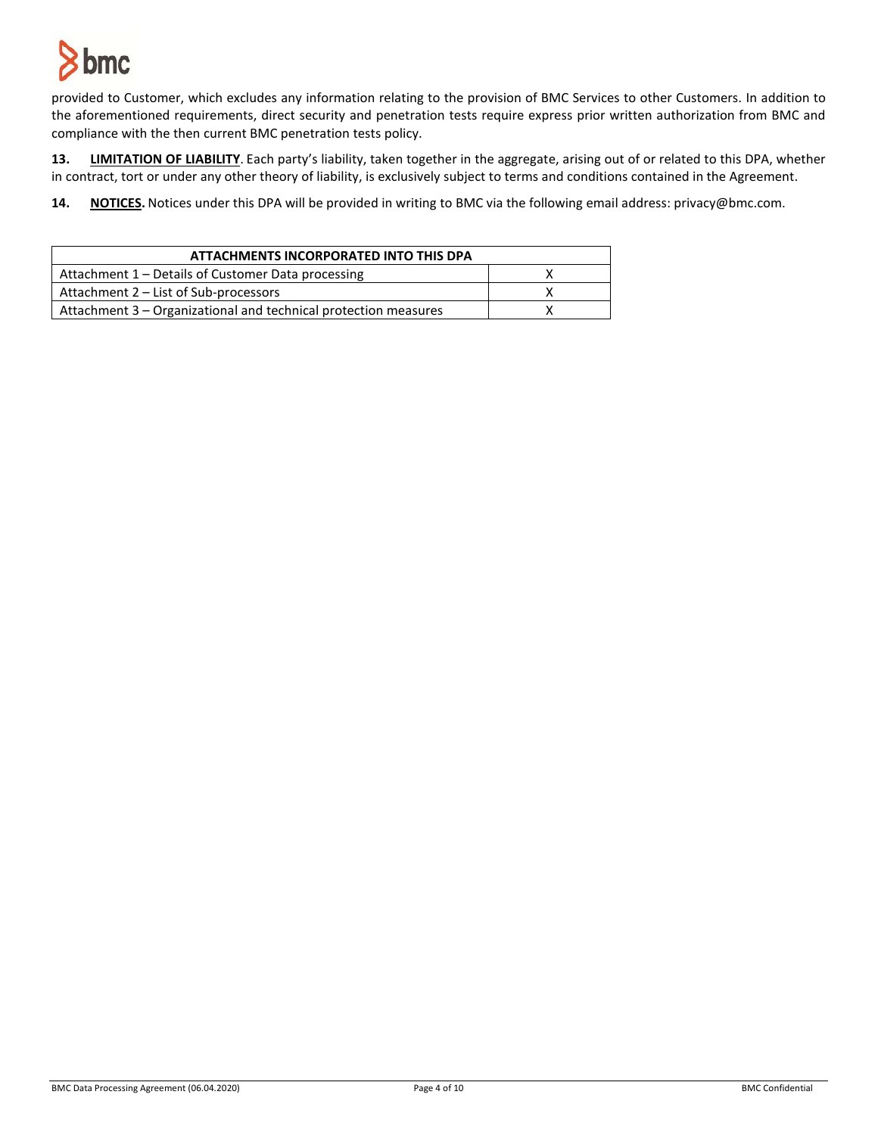

provided to Customer, which excludes any information relating to the provision of BMC Services to other Customers. In addition to the aforementioned requirements, direct security and penetration tests require express prior written authorization from BMC and compliance with the then current BMC penetration tests policy.

**13. LIMITATION OF LIABILITY**. Each party's liability, taken together in the aggregate, arising out of or related to this DPA, whether in contract, tort or under any other theory of liability, is exclusively subject to terms and conditions contained in the Agreement.

**14. NOTICES.** Notices under this DPA will be provided in writing to BMC via the following email address: privacy@bmc.com.

| ATTACHMENTS INCORPORATED INTO THIS DPA                          |  |  |
|-----------------------------------------------------------------|--|--|
| Attachment 1 – Details of Customer Data processing              |  |  |
| Attachment 2 – List of Sub-processors                           |  |  |
| Attachment 3 - Organizational and technical protection measures |  |  |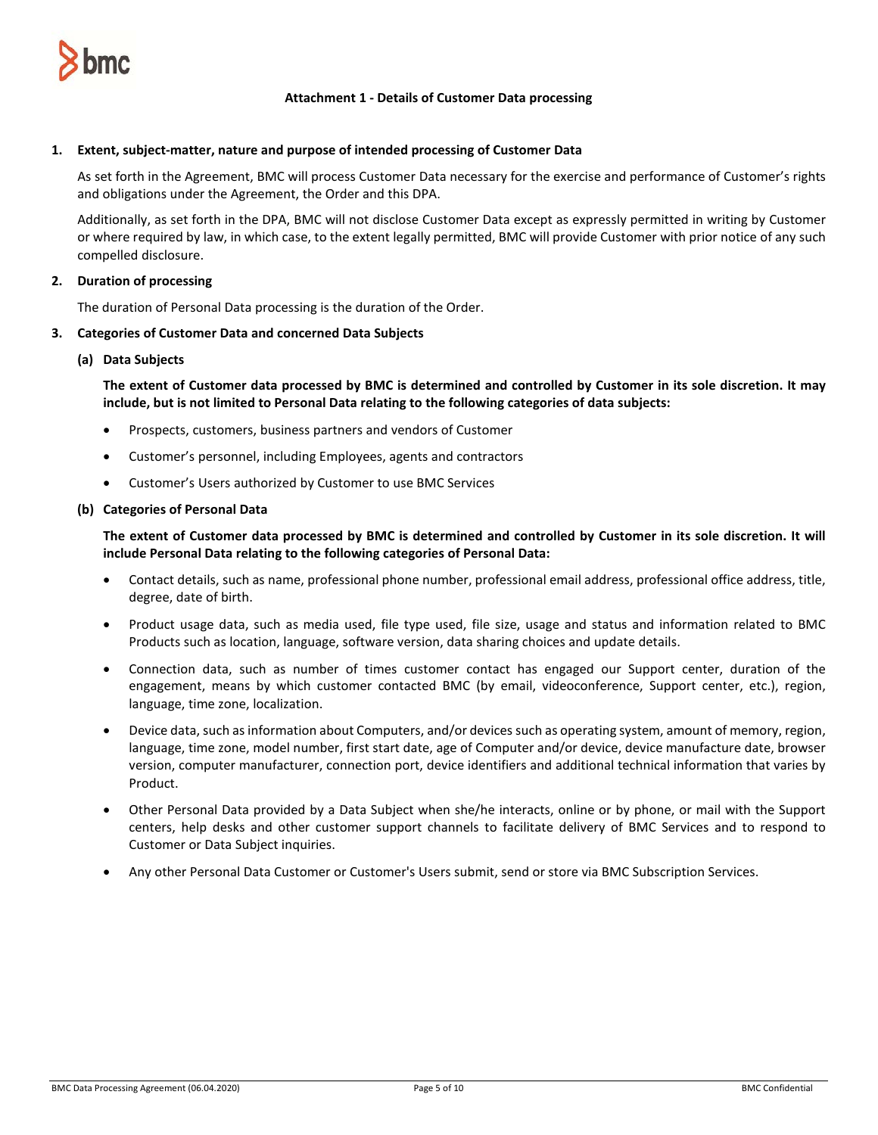

## **Attachment 1 - Details of Customer Data processing**

### **1. Extent, subject-matter, nature and purpose of intended processing of Customer Data**

As set forth in the Agreement, BMC will process Customer Data necessary for the exercise and performance of Customer's rights and obligations under the Agreement, the Order and this DPA.

Additionally, as set forth in the DPA, BMC will not disclose Customer Data except as expressly permitted in writing by Customer or where required by law, in which case, to the extent legally permitted, BMC will provide Customer with prior notice of any such compelled disclosure.

## **2. Duration of processing**

The duration of Personal Data processing is the duration of the Order.

#### **3. Categories of Customer Data and concerned Data Subjects**

#### **(a) Data Subjects**

**The extent of Customer data processed by BMC is determined and controlled by Customer in its sole discretion. It may include, but is not limited to Personal Data relating to the following categories of data subjects:**

- Prospects, customers, business partners and vendors of Customer
- Customer's personnel, including Employees, agents and contractors
- Customer's Users authorized by Customer to use BMC Services

#### **(b) Categories of Personal Data**

**The extent of Customer data processed by BMC is determined and controlled by Customer in its sole discretion. It will include Personal Data relating to the following categories of Personal Data:**

- Contact details, such as name, professional phone number, professional email address, professional office address, title, degree, date of birth.
- Product usage data, such as media used, file type used, file size, usage and status and information related to BMC Products such as location, language, software version, data sharing choices and update details.
- Connection data, such as number of times customer contact has engaged our Support center, duration of the engagement, means by which customer contacted BMC (by email, videoconference, Support center, etc.), region, language, time zone, localization.
- Device data, such as information about Computers, and/or devices such as operating system, amount of memory, region, language, time zone, model number, first start date, age of Computer and/or device, device manufacture date, browser version, computer manufacturer, connection port, device identifiers and additional technical information that varies by Product.
- Other Personal Data provided by a Data Subject when she/he interacts, online or by phone, or mail with the Support centers, help desks and other customer support channels to facilitate delivery of BMC Services and to respond to Customer or Data Subject inquiries.
- Any other Personal Data Customer or Customer's Users submit, send or store via BMC Subscription Services.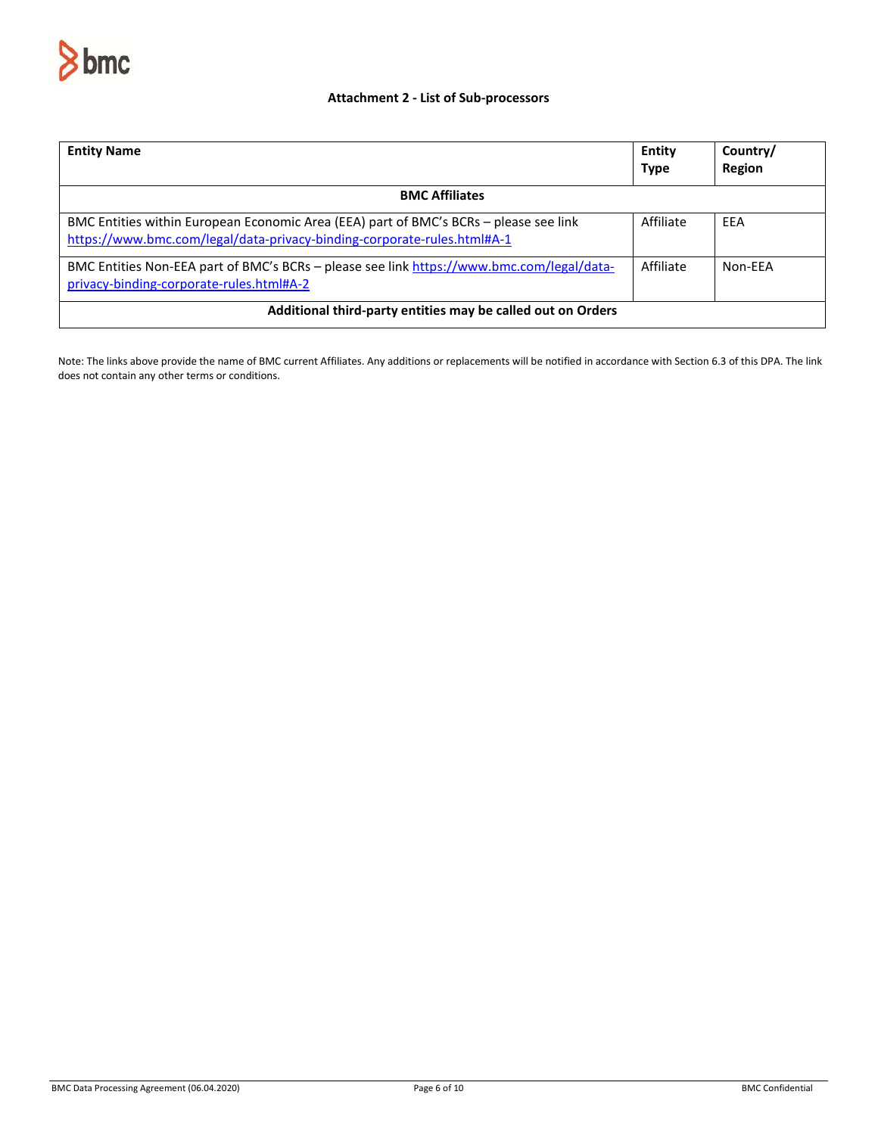

## **Attachment 2 - List of Sub-processors**

| <b>Entity Name</b>                                                                                                                                               | Entity<br><b>Type</b> | Country/<br><b>Region</b> |  |
|------------------------------------------------------------------------------------------------------------------------------------------------------------------|-----------------------|---------------------------|--|
| <b>BMC Affiliates</b>                                                                                                                                            |                       |                           |  |
| BMC Entities within European Economic Area (EEA) part of BMC's BCRs - please see link<br>https://www.bmc.com/legal/data-privacy-binding-corporate-rules.html#A-1 | Affiliate             | EEA                       |  |
| BMC Entities Non-EEA part of BMC's BCRs – please see link https://www.bmc.com/legal/data-<br>privacy-binding-corporate-rules.html#A-2                            | Affiliate             | Non-FFA                   |  |
| Additional third-party entities may be called out on Orders                                                                                                      |                       |                           |  |

Note: The links above provide the name of BMC current Affiliates. Any additions or replacements will be notified in accordance with Section 6.3 of this DPA. The link does not contain any other terms or conditions.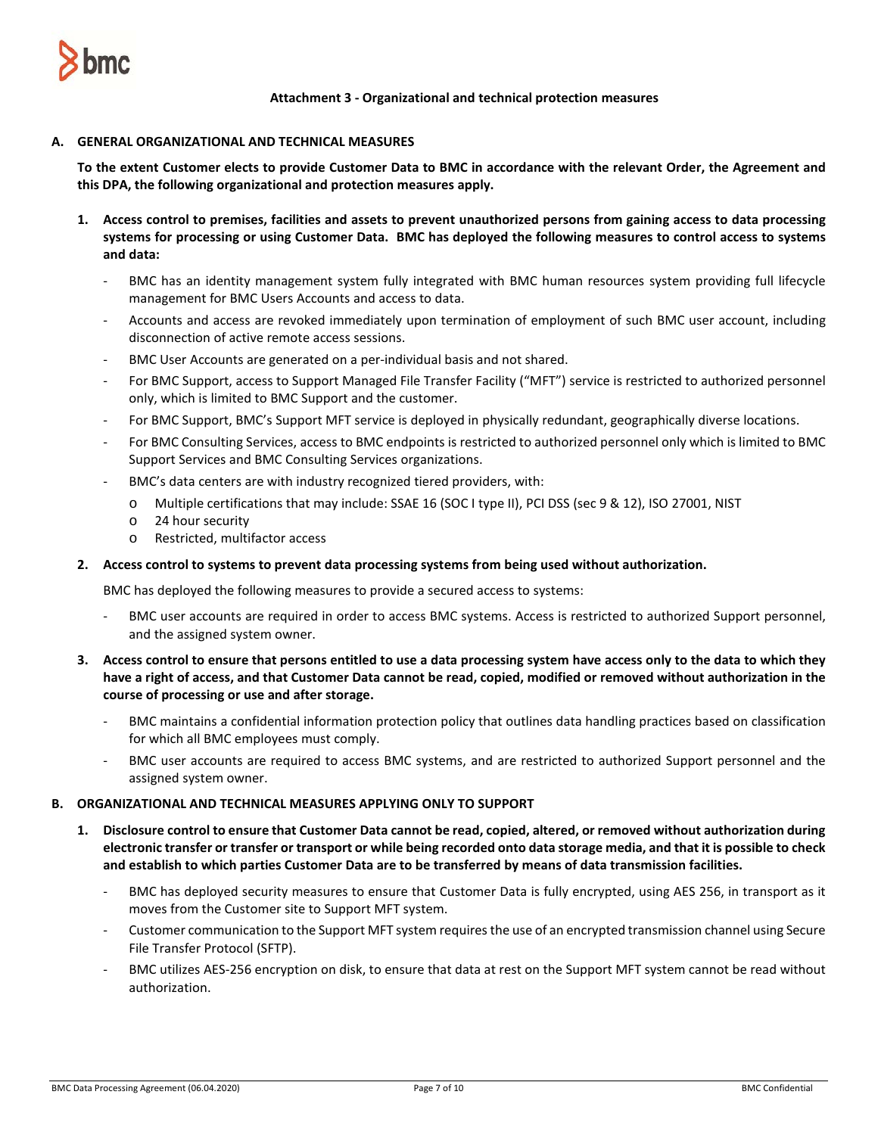

**Attachment 3 - Organizational and technical protection measures**

### **A. GENERAL ORGANIZATIONAL AND TECHNICAL MEASURES**

**To the extent Customer elects to provide Customer Data to BMC in accordance with the relevant Order, the Agreement and this DPA, the following organizational and protection measures apply.** 

- **1. Access control to premises, facilities and assets to prevent unauthorized persons from gaining access to data processing systems for processing or using Customer Data. BMC has deployed the following measures to control access to systems and data:**
	- BMC has an identity management system fully integrated with BMC human resources system providing full lifecycle management for BMC Users Accounts and access to data.
	- Accounts and access are revoked immediately upon termination of employment of such BMC user account, including disconnection of active remote access sessions.
	- BMC User Accounts are generated on a per-individual basis and not shared.
	- For BMC Support, access to Support Managed File Transfer Facility ("MFT") service is restricted to authorized personnel only, which is limited to BMC Support and the customer.
	- For BMC Support, BMC's Support MFT service is deployed in physically redundant, geographically diverse locations.
	- For BMC Consulting Services, access to BMC endpoints is restricted to authorized personnel only which is limited to BMC Support Services and BMC Consulting Services organizations.
	- BMC's data centers are with industry recognized tiered providers, with:
		- o Multiple certifications that may include: SSAE 16 (SOC I type II), PCI DSS (sec 9 & 12), ISO 27001, NIST
		- o 24 hour security
		- o Restricted, multifactor access

## **2. Access control to systems to prevent data processing systems from being used without authorization.**

BMC has deployed the following measures to provide a secured access to systems:

- BMC user accounts are required in order to access BMC systems. Access is restricted to authorized Support personnel, and the assigned system owner.
- **3. Access control to ensure that persons entitled to use a data processing system have access only to the data to which they have a right of access, and that Customer Data cannot be read, copied, modified or removed without authorization in the course of processing or use and after storage.**
	- BMC maintains a confidential information protection policy that outlines data handling practices based on classification for which all BMC employees must comply.
	- BMC user accounts are required to access BMC systems, and are restricted to authorized Support personnel and the assigned system owner.

### **B. ORGANIZATIONAL AND TECHNICAL MEASURES APPLYING ONLY TO SUPPORT**

- **1. Disclosure control to ensure that Customer Data cannot be read, copied, altered, or removed without authorization during electronic transfer or transfer or transport or while being recorded onto data storage media, and that it is possible to check and establish to which parties Customer Data are to be transferred by means of data transmission facilities.** 
	- BMC has deployed security measures to ensure that Customer Data is fully encrypted, using AES 256, in transport as it moves from the Customer site to Support MFT system.
	- Customer communication to the Support MFT system requires the use of an encrypted transmission channel using Secure File Transfer Protocol (SFTP).
	- BMC utilizes AES-256 encryption on disk, to ensure that data at rest on the Support MFT system cannot be read without authorization.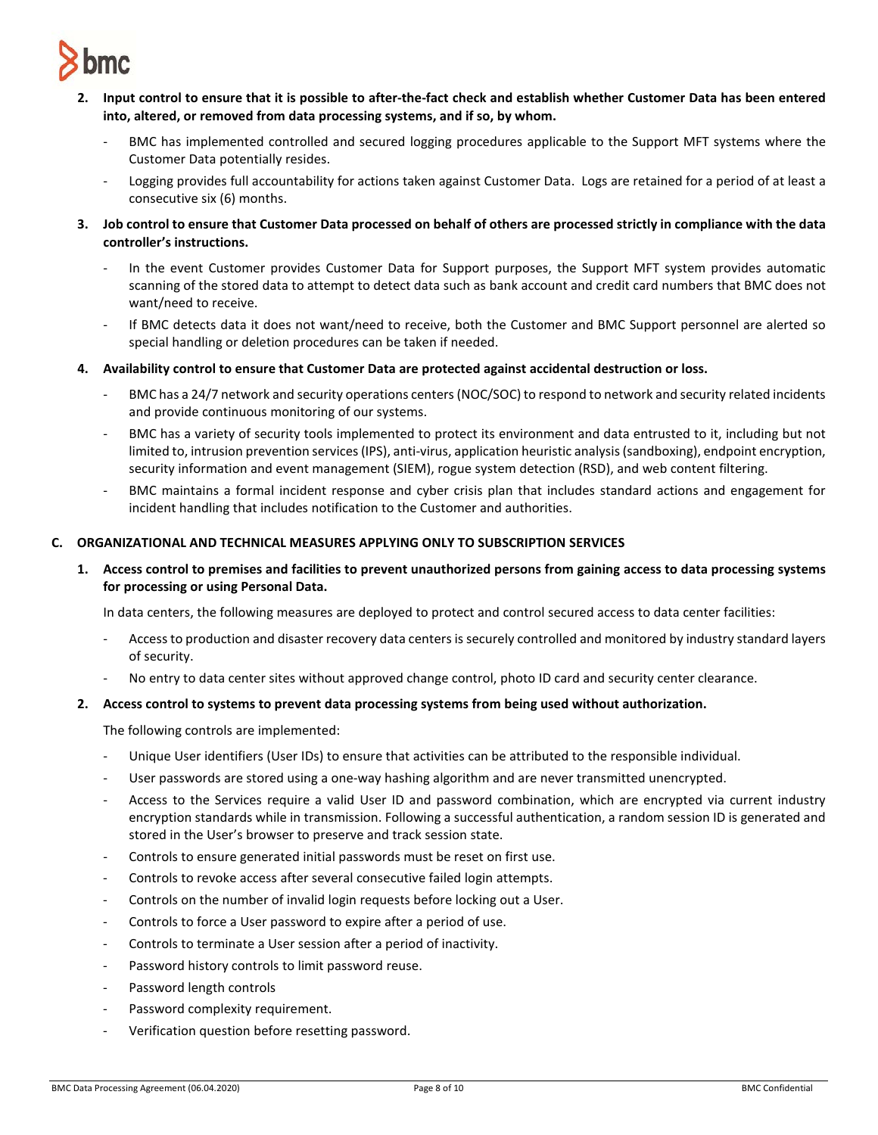

- **2. Input control to ensure that it is possible to after-the-fact check and establish whether Customer Data has been entered into, altered, or removed from data processing systems, and if so, by whom.** 
	- BMC has implemented controlled and secured logging procedures applicable to the Support MFT systems where the Customer Data potentially resides.
	- Logging provides full accountability for actions taken against Customer Data. Logs are retained for a period of at least a consecutive six (6) months.
- **3. Job control to ensure that Customer Data processed on behalf of others are processed strictly in compliance with the data controller's instructions.** 
	- In the event Customer provides Customer Data for Support purposes, the Support MFT system provides automatic scanning of the stored data to attempt to detect data such as bank account and credit card numbers that BMC does not want/need to receive.
	- If BMC detects data it does not want/need to receive, both the Customer and BMC Support personnel are alerted so special handling or deletion procedures can be taken if needed.
- **4. Availability control to ensure that Customer Data are protected against accidental destruction or loss.** 
	- BMC has a 24/7 network and security operations centers (NOC/SOC) to respond to network and security related incidents and provide continuous monitoring of our systems.
	- BMC has a variety of security tools implemented to protect its environment and data entrusted to it, including but not limited to, intrusion prevention services(IPS), anti-virus, application heuristic analysis (sandboxing), endpoint encryption, security information and event management (SIEM), rogue system detection (RSD), and web content filtering.
	- BMC maintains a formal incident response and cyber crisis plan that includes standard actions and engagement for incident handling that includes notification to the Customer and authorities.

## **C. ORGANIZATIONAL AND TECHNICAL MEASURES APPLYING ONLY TO SUBSCRIPTION SERVICES**

**1. Access control to premises and facilities to prevent unauthorized persons from gaining access to data processing systems for processing or using Personal Data.**

In data centers, the following measures are deployed to protect and control secured access to data center facilities:

- Access to production and disaster recovery data centers is securely controlled and monitored by industry standard layers of security.
- No entry to data center sites without approved change control, photo ID card and security center clearance.

## **2. Access control to systems to prevent data processing systems from being used without authorization.**

The following controls are implemented:

- Unique User identifiers (User IDs) to ensure that activities can be attributed to the responsible individual.
- User passwords are stored using a one-way hashing algorithm and are never transmitted unencrypted.
- Access to the Services require a valid User ID and password combination, which are encrypted via current industry encryption standards while in transmission. Following a successful authentication, a random session ID is generated and stored in the User's browser to preserve and track session state.
- Controls to ensure generated initial passwords must be reset on first use.
- Controls to revoke access after several consecutive failed login attempts.
- Controls on the number of invalid login requests before locking out a User.
- Controls to force a User password to expire after a period of use.
- Controls to terminate a User session after a period of inactivity.
- Password history controls to limit password reuse.
- Password length controls
- Password complexity requirement.
- Verification question before resetting password.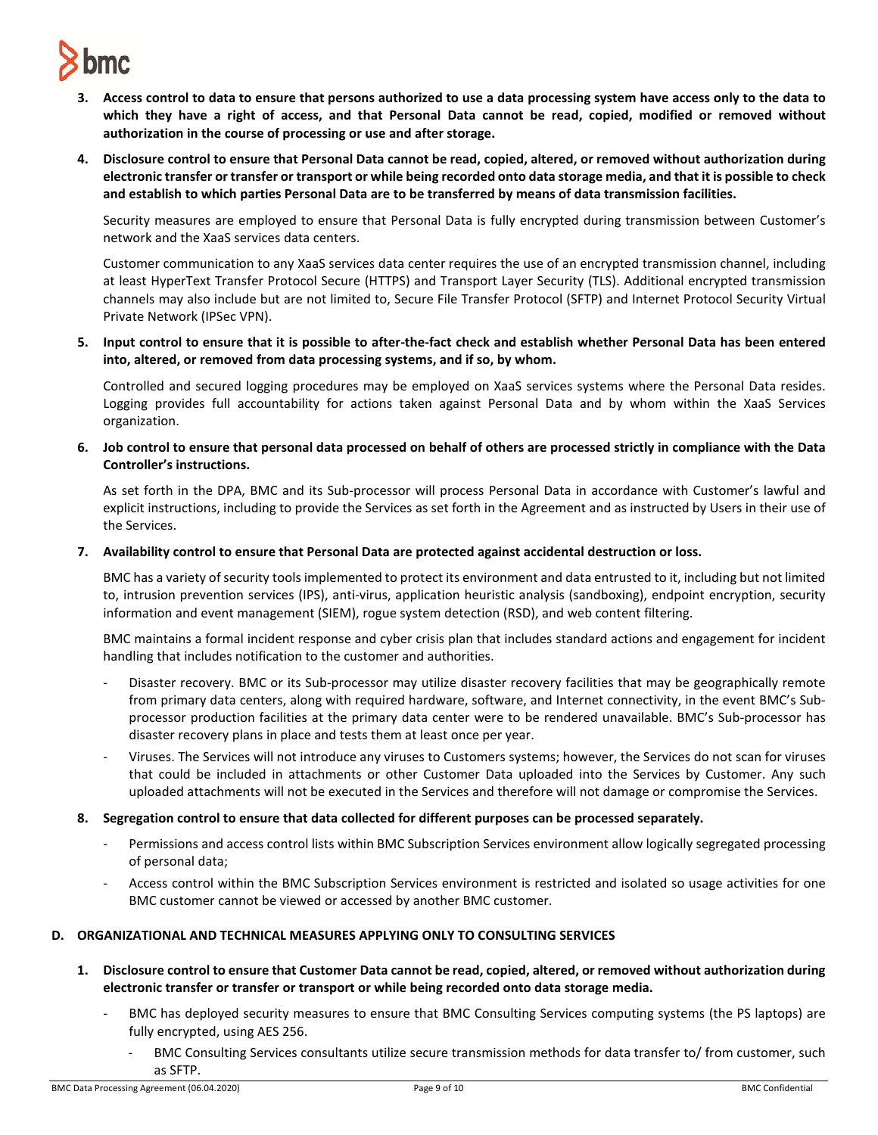

- **3. Access control to data to ensure that persons authorized to use a data processing system have access only to the data to which they have a right of access, and that Personal Data cannot be read, copied, modified or removed without authorization in the course of processing or use and after storage.**
- **4. Disclosure control to ensure that Personal Data cannot be read, copied, altered, or removed without authorization during electronic transfer or transfer or transport or while being recorded onto data storage media, and that it is possible to check and establish to which parties Personal Data are to be transferred by means of data transmission facilities.**

Security measures are employed to ensure that Personal Data is fully encrypted during transmission between Customer's network and the XaaS services data centers.

Customer communication to any XaaS services data center requires the use of an encrypted transmission channel, including at least HyperText Transfer Protocol Secure (HTTPS) and Transport Layer Security (TLS). Additional encrypted transmission channels may also include but are not limited to, Secure File Transfer Protocol (SFTP) and Internet Protocol Security Virtual Private Network (IPSec VPN).

**5. Input control to ensure that it is possible to after-the-fact check and establish whether Personal Data has been entered into, altered, or removed from data processing systems, and if so, by whom.**

Controlled and secured logging procedures may be employed on XaaS services systems where the Personal Data resides. Logging provides full accountability for actions taken against Personal Data and by whom within the XaaS Services organization.

**6. Job control to ensure that personal data processed on behalf of others are processed strictly in compliance with the Data Controller's instructions.**

As set forth in the DPA, BMC and its Sub-processor will process Personal Data in accordance with Customer's lawful and explicit instructions, including to provide the Services as set forth in the Agreement and as instructed by Users in their use of the Services.

**7. Availability control to ensure that Personal Data are protected against accidental destruction or loss.**

BMC has a variety of security tools implemented to protect its environment and data entrusted to it, including but not limited to, intrusion prevention services (IPS), anti-virus, application heuristic analysis (sandboxing), endpoint encryption, security information and event management (SIEM), rogue system detection (RSD), and web content filtering.

BMC maintains a formal incident response and cyber crisis plan that includes standard actions and engagement for incident handling that includes notification to the customer and authorities.

- Disaster recovery. BMC or its Sub-processor may utilize disaster recovery facilities that may be geographically remote from primary data centers, along with required hardware, software, and Internet connectivity, in the event BMC's Subprocessor production facilities at the primary data center were to be rendered unavailable. BMC's Sub-processor has disaster recovery plans in place and tests them at least once per year.
- Viruses. The Services will not introduce any viruses to Customers systems; however, the Services do not scan for viruses that could be included in attachments or other Customer Data uploaded into the Services by Customer. Any such uploaded attachments will not be executed in the Services and therefore will not damage or compromise the Services.
- **8. Segregation control to ensure that data collected for different purposes can be processed separately.** 
	- Permissions and access control lists within BMC Subscription Services environment allow logically segregated processing of personal data;
	- Access control within the BMC Subscription Services environment is restricted and isolated so usage activities for one BMC customer cannot be viewed or accessed by another BMC customer.

### **D. ORGANIZATIONAL AND TECHNICAL MEASURES APPLYING ONLY TO CONSULTING SERVICES**

- **1. Disclosure control to ensure that Customer Data cannot be read, copied, altered, or removed without authorization during electronic transfer or transfer or transport or while being recorded onto data storage media.**
	- BMC has deployed security measures to ensure that BMC Consulting Services computing systems (the PS laptops) are fully encrypted, using AES 256.
		- BMC Consulting Services consultants utilize secure transmission methods for data transfer to/ from customer, such as SFTP.